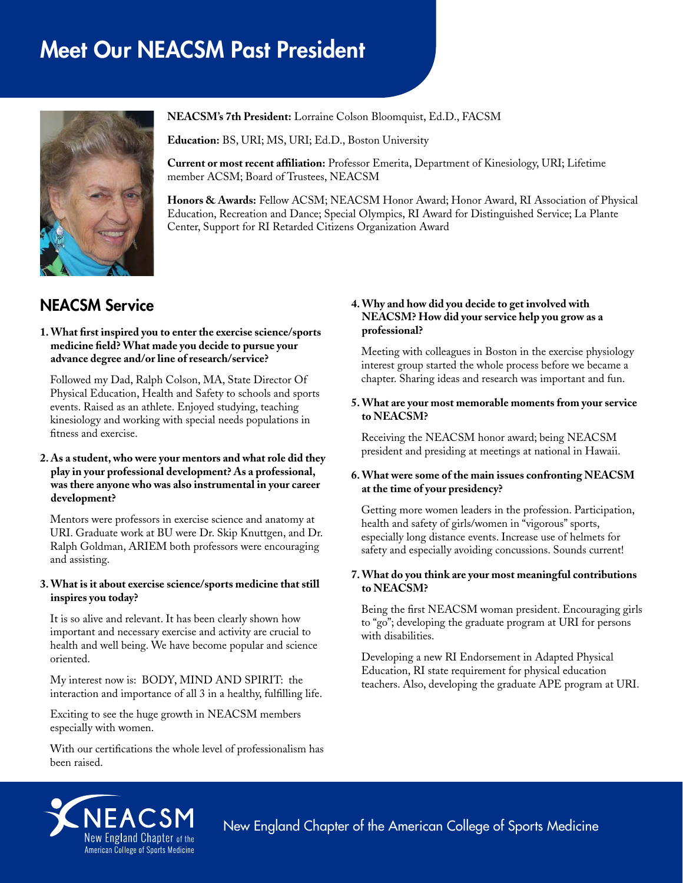# Meet Our NEACSM Past President



**NEACSM's 7th President:** Lorraine Colson Bloomquist, Ed.D., FACSM

**Education:** BS, URI; MS, URI; Ed.D., Boston University

**Current or most recent affiliation:** Professor Emerita, Department of Kinesiology, URI; Lifetime member ACSM; Board of Trustees, NEACSM

**Honors & Awards:** Fellow ACSM; NEACSM Honor Award; Honor Award, RI Association of Physical Education, Recreation and Dance; Special Olympics, RI Award for Distinguished Service; La Plante Center, Support for RI Retarded Citizens Organization Award

# NEACSM Service

#### **1. What first inspired you to enter the exercise science/sports medicine field? What made you decide to pursue your advance degree and/or line of research/service?**

Followed my Dad, Ralph Colson, MA, State Director Of Physical Education, Health and Safety to schools and sports events. Raised as an athlete. Enjoyed studying, teaching kinesiology and working with special needs populations in fitness and exercise.

#### **2. As a student, who were your mentors and what role did they play in your professional development? As a professional, was there anyone who was also instrumental in your career development?**

Mentors were professors in exercise science and anatomy at URI. Graduate work at BU were Dr. Skip Knuttgen, and Dr. Ralph Goldman, ARIEM both professors were encouraging and assisting.

#### **3. What is it about exercise science/sports medicine that still inspires you today?**

It is so alive and relevant. It has been clearly shown how important and necessary exercise and activity are crucial to health and well being. We have become popular and science oriented.

My interest now is: BODY, MIND AND SPIRIT: the interaction and importance of all 3 in a healthy, fulfilling life.

Exciting to see the huge growth in NEACSM members especially with women.

With our certifications the whole level of professionalism has been raised.

## **4. Why and how did you decide to get involved with NEACSM? How did your service help you grow as a professional?**

Meeting with colleagues in Boston in the exercise physiology interest group started the whole process before we became a chapter. Sharing ideas and research was important and fun.

**5. What are your most memorable moments from your service to NEACSM?**

Receiving the NEACSM honor award; being NEACSM president and presiding at meetings at national in Hawaii.

#### **6. What were some of the main issues confronting NEACSM at the time of your presidency?**

Getting more women leaders in the profession. Participation, health and safety of girls/women in "vigorous" sports, especially long distance events. Increase use of helmets for safety and especially avoiding concussions. Sounds current!

#### **7. What do you think are your most meaningful contributions to NEACSM?**

Being the first NEACSM woman president. Encouraging girls to "go"; developing the graduate program at URI for persons with disabilities.

Developing a new RI Endorsement in Adapted Physical Education, RI state requirement for physical education teachers. Also, developing the graduate APE program at URI.



New England Chapter of the American College of Sports Medicine